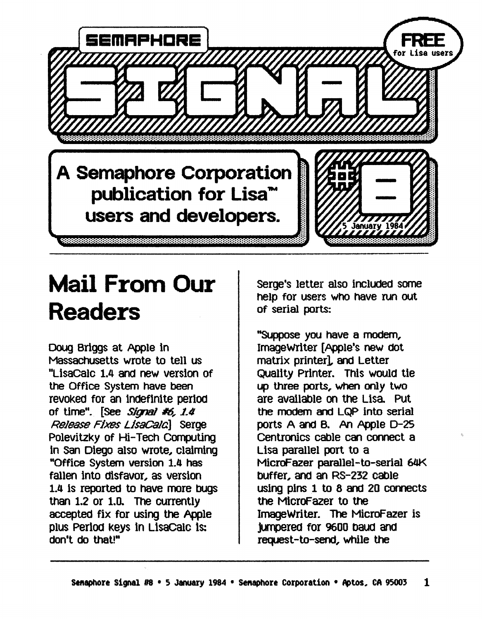

## **Mail From Our Readers**

Doug Briggs at Apple in Massachusetts wrote to tell us "LisaCalc 1.4 and new version of the Office System have been revoked for an indefinite period of time". [See *Signal #6, 1.4* Release Fixes LisaCala Serge Polevitzky of Hi-Tech Computing in San Diego also wrote, Claiming "Office System version 1.4 has fallen into disfavor, as version 1.4 Is reported to have more bUgS than 1.2 or 1.D. The currently accepted fix for using the Apple plus Period keys in LisaCalc is: don't do that'"

serge's letter also included some help for users WhO have run out of serial ports:

"Suppose you have a modem, ImageWrlter [Apple's new dOt matrix printer], and Letter Quality Printer. this would tie up three ports, when only two are avallaole on the Lisa PUt the modem and LQP into serial ports A and B. An Apple D-25 Centronics cable can connect a Lisa parallel port to a MicroF azer parallel-to-serial 64K bUffer, and an RS-232 cable usIng pIns 1 to 8 and 20 connects the MicroFazer to the ImageWriter. The MicroFazer is jumpered for 9600 oauo ana request-to-send, while the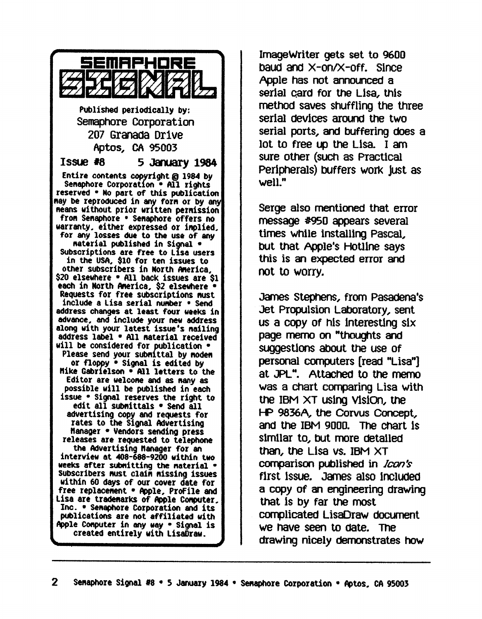

Image Writer gets set to 9600 baud and  $X$ -on/ $X$ -off. Since Apple has not announced a serial card for the Lisa, this method saves shuffling the three serial devices around the two serial ports, and buffering does a lot to free up the Lisa I am sure other (SUCh as Practical peripheralS) bUffers work just as well."

Serge also mentioned that error message #950 appears several times while installing Pascal, bUt that Apple's HotlIne says this is an expected error and not to worry.

James Stephens, from Pasadena's Jet Propulsion Laboratory, sent us a copy of his interesting  $six$ page memo on "thoughts and suggestions about the use of personal computers [read "Lisa"] at JPL". Attached to the memo was a chart comparing Lisa with the IBM XT usIng VisIon, the f-P 9836A, the Corvus Concept, and the IBM 9000. The chart is slmllar to, bUt more detaIled than, the Lisa vs. IBM XT comparison published in *Icon's* first issue. James also included a copy of an engineering drawing that Is by far the most complicated LisaDraw document we nave seen to date. The drawing nicely demonstrates how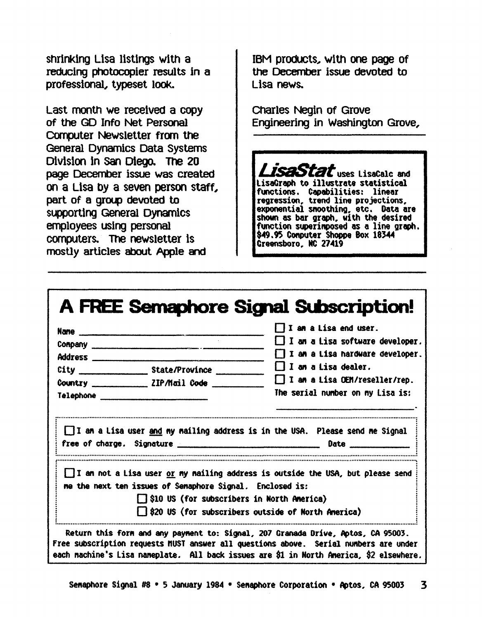shrinking Lisa listings with a reducing photocopier results in a professional, typeset look.

Last month we received a copy of the GD Info Net Personal Computer Newsletter from the General Dynamics Data Systems Division in San Diego. The 20 page December issue was created on a Lisa by a seven person staff, part of a group devoted to supporting General Dynamics employees using personal computers. The newsletter is mostly articles about Apple and

IBM products, with one page of the December issue devoted to Lisa news.

**Charles Negin of Grove** Engineering in Washington Grove,

Luses LisaCalc and LisaGraph to illustrate statistical functions. Capabilities: linear regression, trend line projections. exponential snoothing, etc. Data are<br>shown as bar graph, with the desired function superimposed as a line graph. \$49.95 Conputer Shoppe Box 18344 Creensboro, NC 27419

|                | <u>Nane _________________________________</u>                                                                 | $\Box$ I am a Lisa end user.                                                            |
|----------------|---------------------------------------------------------------------------------------------------------------|-----------------------------------------------------------------------------------------|
|                |                                                                                                               | $\Box$ I an a Lisa software developer.                                                  |
| <b>Address</b> |                                                                                                               | $\Box$ I am a Lisa hardware developer.                                                  |
|                |                                                                                                               | II an a Lisa dealer.                                                                    |
|                | Country ______________ ZIP/Mail Code ______                                                                   | $\Box$ I am a Lisa OEM/reseller/rep.                                                    |
|                | Telephone ________________________________                                                                    | The serial number on my Lisa is:                                                        |
|                |                                                                                                               | I am a Lisa user and my mailing address is in the USA. Please send me Signal            |
|                |                                                                                                               | <b>Date</b>                                                                             |
|                | me the next ten issues of Semaphore Signal. Enclosed is:<br>$\Box$ \$10 US (for subscribers in North America) | $\Box$ I an not a Lisa user $or$ my nailing address is outside the USA, but please send |